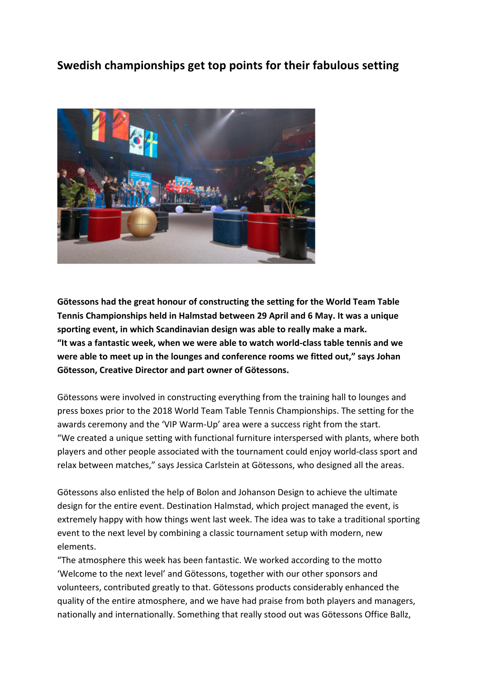## **Swedish championships get top points for their fabulous setting**



Götessons had the great honour of constructing the setting for the World Team Table **Tennis Championships held in Halmstad between 29 April and 6 May. It was a unique** sporting event, in which Scandinavian design was able to really make a mark. "It was a fantastic week, when we were able to watch world-class table tennis and we were able to meet up in the lounges and conference rooms we fitted out," says Johan **Götesson, Creative Director and part owner of Götessons.** 

Götessons were involved in constructing everything from the training hall to lounges and press boxes prior to the 2018 World Team Table Tennis Championships. The setting for the awards ceremony and the 'VIP Warm-Up' area were a success right from the start. "We created a unique setting with functional furniture interspersed with plants, where both players and other people associated with the tournament could enjoy world-class sport and relax between matches." says Jessica Carlstein at Götessons, who designed all the areas.

Götessons also enlisted the help of Bolon and Johanson Design to achieve the ultimate design for the entire event. Destination Halmstad, which project managed the event, is extremely happy with how things went last week. The idea was to take a traditional sporting event to the next level by combining a classic tournament setup with modern, new elements. 

"The atmosphere this week has been fantastic. We worked according to the motto 'Welcome to the next level' and Götessons, together with our other sponsors and volunteers, contributed greatly to that. Götessons products considerably enhanced the quality of the entire atmosphere, and we have had praise from both players and managers, nationally and internationally. Something that really stood out was Götessons Office Ballz,